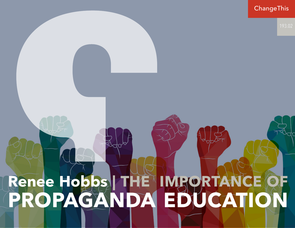# **Renee Hobbs | THE IMPORTANCE OF PROPAGANDA EDUCATION** ChangeThis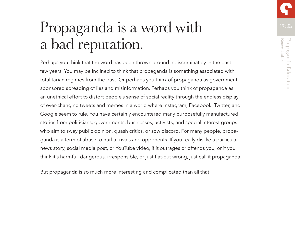# Propaganda is a word with a bad reputation.

Perhaps you think that the word has been thrown around indiscriminately in the past few years. You may be inclined to think that propaganda is something associated with totalitarian regimes from the past. Or perhaps you think of propaganda as governmentsponsored spreading of lies and misinformation. Perhaps you think of propaganda as an unethical effort to distort people's sense of social reality through the endless display of ever-changing tweets and memes in a world where Instagram, Facebook, Twitter, and Google seem to rule. You have certainly encountered many purposefully manufactured stories from politicians, governments, businesses, activists, and special interest groups who aim to sway public opinion, quash critics, or sow discord. For many people, propaganda is a term of abuse to hurl at rivals and opponents. If you really dislike a particular news story, social media post, or YouTube video, if it outrages or offends you, or if you think it's harmful, dangerous, irresponsible, or just flat-out wrong, just call it propaganda.

But propaganda is so much more interesting and complicated than all that.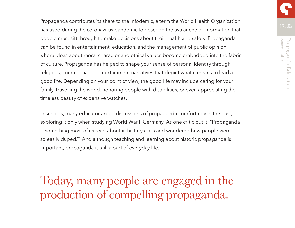Propaganda contributes its share to the infodemic, a term the World Health Organization has used during the coronavirus pandemic to describe the avalanche of information that people must sift through to make decisions about their health and safety. Propaganda can be found in entertainment, education, and the management of public opinion, where ideas about moral character and ethical values become embedded into the fabric of culture. Propaganda has helped to shape your sense of personal identity through religious, commercial, or entertainment narratives that depict what it means to lead a good life. Depending on your point of view, the good life may include caring for your family, travelling the world, honoring people with disabilities, or even appreciating the timeless beauty of expensive watches.

In schools, many educators keep discussions of propaganda comfortably in the past, exploring it only when studying World War II Germany. As one critic put it, "Propaganda is something most of us read about in history class and wondered how people were so easily duped."1 And although teaching and learning about historic propaganda is important, propaganda is still a part of everyday life.

Today, many people are engaged in the production of compelling propaganda.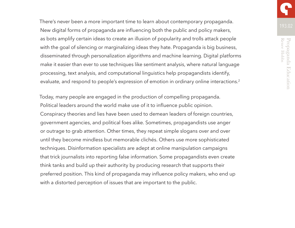There's never been a more important time to learn about contemporary propaganda.<br>193.02 New digital forms of propaganda are influencing both the public and policy makers, as bots amplify certain ideas to create an illusion of popularity and trolls attack people with the goal of silencing or marginalizing ideas they hate. Propaganda is big business, disseminated through personalization algorithms and machine learning. Digital platforms make it easier than ever to use techniques like sentiment analysis, where natural language processing, text analysis, and computational linguistics help propagandists identify, evaluate, and respond to people's expression of emotion in ordinary online interactions.<sup>2</sup>

Today, many people are engaged in the production of compelling propaganda. Political leaders around the world make use of it to influence public opinion. Conspiracy theories and lies have been used to demean leaders of foreign countries, government agencies, and political foes alike. Sometimes, propagandists use anger or outrage to grab attention. Other times, they repeat simple slogans over and over until they become mindless but memorable clichés. Others use more sophisticated techniques. Disinformation specialists are adept at online manipulation campaigns that trick journalists into reporting false information. Some propagandists even create think tanks and build up their authority by producing research that supports their preferred position. This kind of propaganda may influence policy makers, who end up with a distorted perception of issues that are important to the public.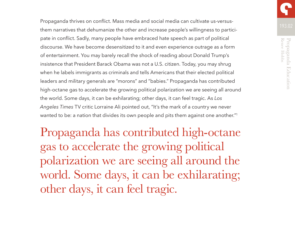Propaganda thrives on conflict. Mass media and social media can cultivate us-versusthem narratives that dehumanize the other and increase people's willingness to participate in conflict. Sadly, many people have embraced hate speech as part of political discourse. We have become desensitized to it and even experience outrage as a form of entertainment. You may barely recall the shock of reading about Donald Trump's insistence that President Barack Obama was not a U.S. citizen. Today, you may shrug when he labels immigrants as criminals and tells Americans that their elected political leaders and military generals are "morons" and "babies." Propaganda has contributed high-octane gas to accelerate the growing political polarization we are seeing all around the world. Some days, it can be exhilarating; other days, it can feel tragic. As *Los Angeles Times* TV critic Lorraine Ali pointed out, "It's the mark of a country we never wanted to be: a nation that divides its own people and pits them against one another."<sup>1</sup>

Propaganda has contributed high-octane gas to accelerate the growing political polarization we are seeing all around the world. Some days, it can be exhilarating; other days, it can feel tragic.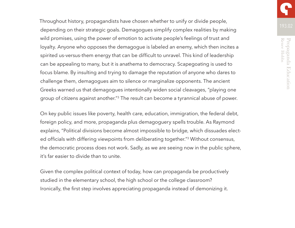Throughout history, propagandists have chosen whether to unify or divide people, depending on their strategic goals. Demagogues simplify complex realities by making wild promises, using the power of emotion to activate people's feelings of trust and loyalty. Anyone who opposes the demagogue is labeled an enemy, which then incites a spirited us-versus-them energy that can be difficult to unravel. This kind of leadership can be appealing to many, but it is anathema to democracy. Scapegoating is used to focus blame. By insulting and trying to damage the reputation of anyone who dares to challenge them, demagogues aim to silence or marginalize opponents. The ancient Greeks warned us that demagogues intentionally widen social cleavages, "playing one group of citizens against another."3 The result can become a tyrannical abuse of power.

On key public issues like poverty, health care, education, immigration, the federal debt, foreign policy, and more, propaganda plus demagoguery spells trouble. As Raymond explains, "Political divisions become almost impossible to bridge, which dissuades elected officials with differing viewpoints from deliberating together."3 Without consensus, the democratic process does not work. Sadly, as we are seeing now in the public sphere, it's far easier to divide than to unite.

Given the complex political context of today, how can propaganda be productively studied in the elementary school, the high school or the college classroom? Ironically, the first step involves appreciating propaganda instead of demonizing it.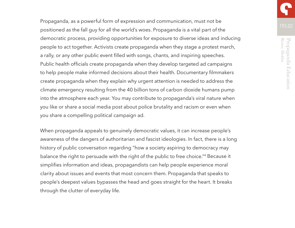Propaganda, as a powerful form of expression and communication, must not be positioned as the fall guy for all the world's woes. Propaganda is a vital part of the democratic process, providing opportunities for exposure to diverse ideas and inducing people to act together. Activists create propaganda when they stage a protest march, a rally, or any other public event filled with songs, chants, and inspiring speeches. Public health officials create propaganda when they develop targeted ad campaigns to help people make informed decisions about their health. Documentary filmmakers create propaganda when they explain why urgent attention is needed to address the climate emergency resulting from the 40 billion tons of carbon dioxide humans pump into the atmosphere each year. You may contribute to propaganda's viral nature when you like or share a social media post about police brutality and racism or even when

you share a compelling political campaign ad.

When propaganda appeals to genuinely democratic values, it can increase people's awareness of the dangers of authoritarian and fascist ideologies. In fact, there is a long history of public conversation regarding "how a society aspiring to democracy may balance the right to persuade with the right of the public to free choice."4 Because it simplifies information and ideas, propagandists can help people experience moral clarity about issues and events that most concern them. Propaganda that speaks to people's deepest values bypasses the head and goes straight for the heart. It breaks through the clutter of everyday life.

Propaganda Education<br>Renee Hobis Renee Hobbs Propaganda Education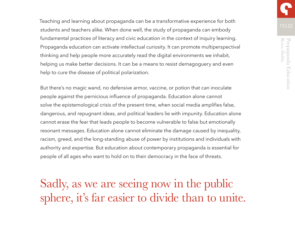Teaching and learning about propaganda can be a transformative experience for both students and teachers alike. When done well, the study of propaganda can embody fundamental practices of literacy and civic education in the context of inquiry learning. Propaganda education can activate intellectual curiosity. It can promote multiperspectival thinking and help people more accurately read the digital environments we inhabit, helping us make better decisions. It can be a means to resist demagoguery and even help to cure the disease of political polarization.

But there's no magic wand, no defensive armor, vaccine, or potion that can inoculate people against the pernicious influence of propaganda. Education alone cannot solve the epistemological crisis of the present time, when social media amplifies false, dangerous, and repugnant ideas, and political leaders lie with impunity. Education alone cannot erase the fear that leads people to become vulnerable to false but emotionally resonant messages. Education alone cannot eliminate the damage caused by inequality, racism, greed, and the long-standing abuse of power by institutions and individuals with authority and expertise. But education about contemporary propaganda is essential for people of all ages who want to hold on to their democracy in the face of threats.

Sadly, as we are seeing now in the public sphere, it's far easier to divide than to unite.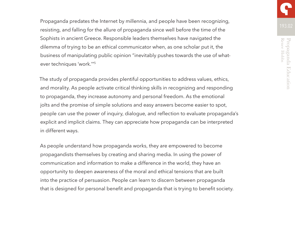Propaganda predates the Internet by millennia, and people have been recognizing, resisting, and falling for the allure of propaganda since well before the time of the Sophists in ancient Greece. Responsible leaders themselves have navigated the dilemma of trying to be an ethical communicator when, as one scholar put it, the business of manipulating public opinion "inevitably pushes towards the use of whatever techniques 'work.'"5

The study of propaganda provides plentiful opportunities to address values, ethics, and morality. As people activate critical thinking skills in recognizing and responding to propaganda, they increase autonomy and personal freedom. As the emotional jolts and the promise of simple solutions and easy answers become easier to spot, people can use the power of inquiry, dialogue, and reflection to evaluate propaganda's explicit and implicit claims. They can appreciate how propaganda can be interpreted in different ways.

As people understand how propaganda works, they are empowered to become propagandists themselves by creating and sharing media. In using the power of communication and information to make a difference in the world, they have an opportunity to deepen awareness of the moral and ethical tensions that are built into the practice of persuasion. People can learn to discern between propaganda that is designed for personal benefit and propaganda that is trying to benefit society.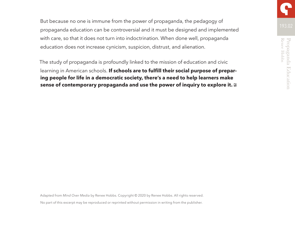But because no one is immune from the power of propaganda, the pedagogy of propaganda education can be controversial and it must be designed and implemented with care, so that it does not turn into indoctrination. When done well, propaganda education does not increase cynicism, suspicion, distrust, and alienation.

The study of propaganda is profoundly linked to the mission of education and civic learning in American schools. **If schools are to fulfill their social purpose of preparing people for life in a democratic society, there's a need to help learners make sense of contemporary propaganda and use the power of inquiry to explore it.**

Adapted from *Mind Over Media* by Renee Hobbs. Copyright © 2020 by Renee Hobbs. All rights reserved. No part of this excerpt may be reproduced or reprinted without permission in writing from the publisher.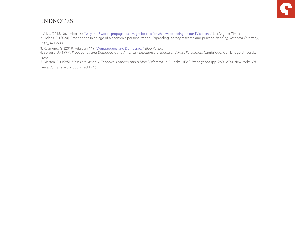# ENDNOTES

1. Ali, L. (2018, November 16). ["Why the P word— propaganda— might be best for what we're seeing on our TV screens,"](https://www .latimes .com/
entertainment https://www.latimes.com/entertainment/tv/la-et-st-propaganda-fake-news-tv-culture-20181116-story.html) Los Angeles Times 2. Hobbs, R. (2020). Propaganda in an age of algorithmic personalization: Expanding literacy research and practice. *Reading Research Quarterly*, 55(3), 421–533.

3. Raymond, G. (2019, February 11). ["Demagogues and Democracy,"](https://www.boisestate.edu/bluereview/demagogues-and-democracy/) *Blue Review*

4. Sproule, J. (1997). *Propaganda and Democracy: The American Experience of Media and Mass Persuasion*. Cambridge: Cambridge University Press.

5. Merton, R. (1995). *Mass Persuasion: A Technical Problem And A Moral Dilemma*. In R. Jackall (Ed.), *Propaganda* (pp. 260– 274). New York: NYU Press. (Original work published 1946)